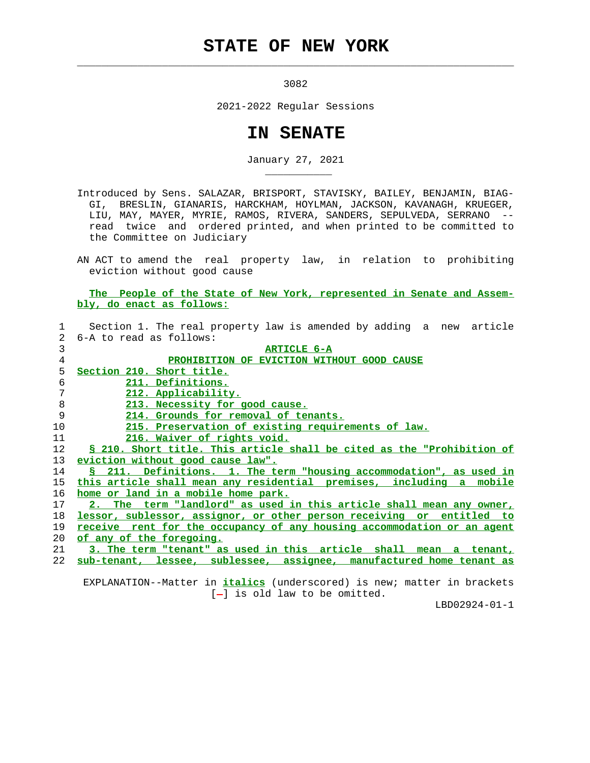## **STATE OF NEW YORK**

 $\mathcal{L}_\text{max} = \frac{1}{2} \sum_{i=1}^{n} \frac{1}{2} \sum_{i=1}^{n} \frac{1}{2} \sum_{i=1}^{n} \frac{1}{2} \sum_{i=1}^{n} \frac{1}{2} \sum_{i=1}^{n} \frac{1}{2} \sum_{i=1}^{n} \frac{1}{2} \sum_{i=1}^{n} \frac{1}{2} \sum_{i=1}^{n} \frac{1}{2} \sum_{i=1}^{n} \frac{1}{2} \sum_{i=1}^{n} \frac{1}{2} \sum_{i=1}^{n} \frac{1}{2} \sum_{i=1}^{n} \frac{1$ 

\_\_\_\_\_\_\_\_\_\_\_

3082

2021-2022 Regular Sessions

## **IN SENATE**

January 27, 2021

 Introduced by Sens. SALAZAR, BRISPORT, STAVISKY, BAILEY, BENJAMIN, BIAG- GI, BRESLIN, GIANARIS, HARCKHAM, HOYLMAN, JACKSON, KAVANAGH, KRUEGER, LIU, MAY, MAYER, MYRIE, RAMOS, RIVERA, SANDERS, SEPULVEDA, SERRANO - read twice and ordered printed, and when printed to be committed to the Committee on Judiciary

 AN ACT to amend the real property law, in relation to prohibiting eviction without good cause

 **The People of the State of New York, represented in Senate and Assem bly, do enact as follows:**

|                   | Section 1. The real property law is amended by adding a new article     |
|-------------------|-------------------------------------------------------------------------|
| $2^{\circ}$       | 6-A to read as follows:                                                 |
| 3                 | <b>ARTICLE 6-A</b>                                                      |
| $\overline{4}$    | PROHIBITION OF EVICTION WITHOUT GOOD CAUSE                              |
| 5                 | Section 210. Short title.                                               |
| 6                 | 211. Definitions.                                                       |
| 7                 | 212. Applicability.                                                     |
| 8                 | 213. Necessity for good cause.                                          |
| 9                 | 214. Grounds for removal of tenants.                                    |
| 10                | 215. Preservation of existing requirements of law.                      |
| 11                | 216. Waiver of rights void.                                             |
| $12 \overline{ }$ | \$ 210. Short title. This article shall be cited as the "Prohibition of |
| 13                | eviction without good cause law".                                       |
| 14                | S 211. Definitions. 1. The term "housing accommodation", as used in     |
| 15                | this article shall mean any residential premises, including a mobile    |
| 16                | home or land in a mobile home park.                                     |
| 17                | 2. The term "landlord" as used in this article shall mean any owner,    |
| 18                | lessor, sublessor, assignor, or other person receiving or entitled to   |
| 19                | receive rent for the occupancy of any housing accommodation or an agent |
| 20                | of any of the foregoing.                                                |
| 21                | 3. The term "tenant" as used in this article shall mean a tenant,       |
| 22                | sub-tenant, lessee, sublessee, assignee, manufactured home tenant as    |
|                   |                                                                         |

 EXPLANATION--Matter in **italics** (underscored) is new; matter in brackets  $[-]$  is old law to be omitted.

LBD02924-01-1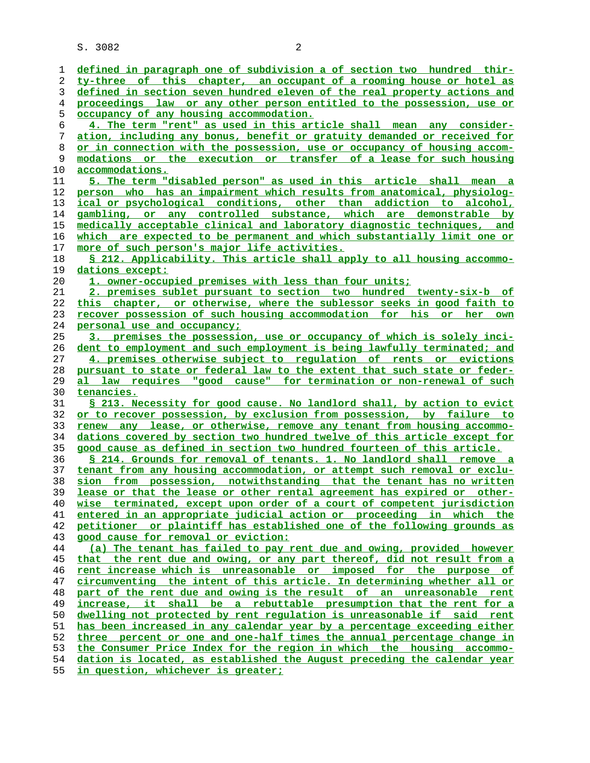S. 3082 2

**defined in paragraph one of subdivision a of section two hundred thir- ty-three of this chapter, an occupant of a rooming house or hotel as defined in section seven hundred eleven of the real property actions and proceedings law or any other person entitled to the possession, use or occupancy of any housing accommodation. 4. The term "rent" as used in this article shall mean any consider- ation, including any bonus, benefit or gratuity demanded or received for or in connection with the possession, use or occupancy of housing accom- modations or the execution or transfer of a lease for such housing accommodations. 5. The term "disabled person" as used in this article shall mean a person who has an impairment which results from anatomical, physiolog- ical or psychological conditions, other than addiction to alcohol, gambling, or any controlled substance, which are demonstrable by medically acceptable clinical and laboratory diagnostic techniques, and which are expected to be permanent and which substantially limit one or more of such person's major life activities. § 212. Applicability. This article shall apply to all housing accommo- dations except: 1. owner-occupied premises with less than four units; 2. premises sublet pursuant to section two hundred twenty-six-b of this chapter, or otherwise, where the sublessor seeks in good faith to recover possession of such housing accommodation for his or her own personal use and occupancy; 3. premises the possession, use or occupancy of which is solely inci- dent to employment and such employment is being lawfully terminated; and 4. premises otherwise subject to regulation of rents or evictions pursuant to state or federal law to the extent that such state or feder- al law requires "good cause" for termination or non-renewal of such tenancies. § 213. Necessity for good cause. No landlord shall, by action to evict or to recover possession, by exclusion from possession, by failure to renew any lease, or otherwise, remove any tenant from housing accommo- dations covered by section two hundred twelve of this article except for good cause as defined in section two hundred fourteen of this article. § 214. Grounds for removal of tenants. 1. No landlord shall remove a tenant from any housing accommodation, or attempt such removal or exclu- sion from possession, notwithstanding that the tenant has no written lease or that the lease or other rental agreement has expired or other- wise terminated, except upon order of a court of competent jurisdiction entered in an appropriate judicial action or proceeding in which the petitioner or plaintiff has established one of the following grounds as good cause for removal or eviction: (a) The tenant has failed to pay rent due and owing, provided however that the rent due and owing, or any part thereof, did not result from a rent increase which is unreasonable or imposed for the purpose of circumventing the intent of this article. In determining whether all or part of the rent due and owing is the result of an unreasonable rent increase, it shall be a rebuttable presumption that the rent for a dwelling not protected by rent regulation is unreasonable if said rent has been increased in any calendar year by a percentage exceeding either three percent or one and one-half times the annual percentage change in the Consumer Price Index for the region in which the housing accommo-**

**dation is located, as established the August preceding the calendar year**

**in question, whichever is greater;**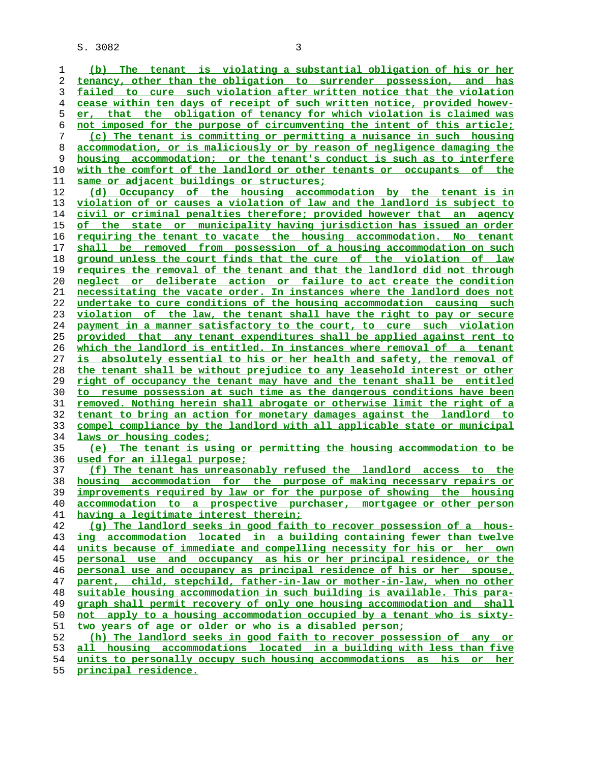S. 3082 3

**(b) The tenant is violating a substantial obligation of his or her tenancy, other than the obligation to surrender possession, and has failed to cure such violation after written notice that the violation cease within ten days of receipt of such written notice, provided howev- er, that the obligation of tenancy for which violation is claimed was not imposed for the purpose of circumventing the intent of this article; (c) The tenant is committing or permitting a nuisance in such housing accommodation, or is maliciously or by reason of negligence damaging the housing accommodation; or the tenant's conduct is such as to interfere with the comfort of the landlord or other tenants or occupants of the same or adjacent buildings or structures; (d) Occupancy of the housing accommodation by the tenant is in violation of or causes a violation of law and the landlord is subject to civil or criminal penalties therefore; provided however that an agency of the state or municipality having jurisdiction has issued an order requiring the tenant to vacate the housing accommodation. No tenant shall be removed from possession of a housing accommodation on such ground unless the court finds that the cure of the violation of law requires the removal of the tenant and that the landlord did not through neglect or deliberate action or failure to act create the condition necessitating the vacate order. In instances where the landlord does not undertake to cure conditions of the housing accommodation causing such violation of the law, the tenant shall have the right to pay or secure payment in a manner satisfactory to the court, to cure such violation provided that any tenant expenditures shall be applied against rent to which the landlord is entitled. In instances where removal of a tenant is absolutely essential to his or her health and safety, the removal of the tenant shall be without prejudice to any leasehold interest or other right of occupancy the tenant may have and the tenant shall be entitled to resume possession at such time as the dangerous conditions have been removed. Nothing herein shall abrogate or otherwise limit the right of a tenant to bring an action for monetary damages against the landlord to compel compliance by the landlord with all applicable state or municipal laws or housing codes; (e) The tenant is using or permitting the housing accommodation to be used for an illegal purpose; (f) The tenant has unreasonably refused the landlord access to the housing accommodation for the purpose of making necessary repairs or improvements required by law or for the purpose of showing the housing accommodation to a prospective purchaser, mortgagee or other person having a legitimate interest therein; (g) The landlord seeks in good faith to recover possession of a hous- ing accommodation located in a building containing fewer than twelve units because of immediate and compelling necessity for his or her own personal use and occupancy as his or her principal residence, or the personal use and occupancy as principal residence of his or her spouse, parent, child, stepchild, father-in-law or mother-in-law, when no other suitable housing accommodation in such building is available. This para- graph shall permit recovery of only one housing accommodation and shall not apply to a housing accommodation occupied by a tenant who is sixty- two years of age or older or who is a disabled person; (h) The landlord seeks in good faith to recover possession of any or all housing accommodations located in a building with less than five units to personally occupy such housing accommodations as his or her principal residence.**